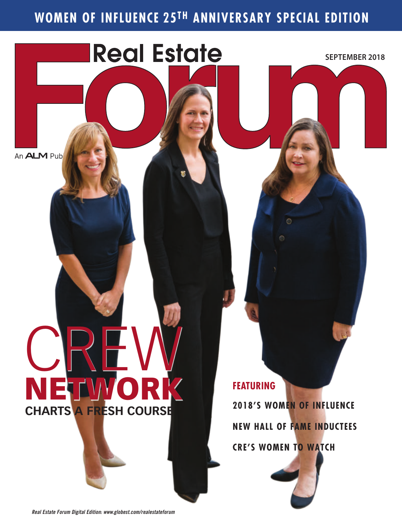### **WOMEN OF INFLUENCE 25TH ANNIVERSARY SPECIAL EDITION**

**Real Estate** 

An **ALM** Pub

# CREW NETWORK **CHARTS A FRESH COURSE**

**FEATURING**

**2018'S WOMEN OF INFLUENCE NEW HALL OF FAME INDUCTEES CRE'S WOMEN TO WATCH**

O

**SEPTEMBER 2018**

*Real Estate Forum Digital Edition: www.globest.com/realestateforum*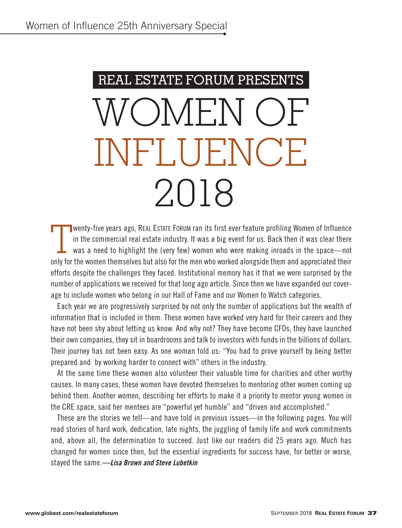## REAL ESTATE FORUM PRESENTS OMEN O INFLUENCE 2018

 $\prod$ **N** wenty-five years ago, REAL ESTATE FORUM ran its first ever feature profiling Women of Influence in the commercial real estate industry. It was a big event for us. Back then it was clear there was a need to highlight the (very few) women who were making inroads in the space—not only for the women themselves but also for the men who worked alongside them and appreciated their efforts despite the challenges they faced. Institutional memory has it that we were surprised by the number of applications we received for that long ago article. Since then we have expanded our coverage to include women who belong in our Hall of Fame and our Women to Watch categories.

Each year we are progressively surprised by not only the number of applications but the wealth of information that is included in them. These women have worked very hard for their careers and they have not been shy about letting us know. And why not? They have become CFOs, they have launched their own companies, they sit in boardrooms and talk to investors with funds in the billions of dollars. Their journey has not been easy. As one woman told us: "You had to prove yourself by being better prepared and by working harder to connect with" others in the industry.

At the same time these women also volunteer their valuable time for charities and other worthy causes. In many cases, these women have devoted themselves to mentoring other women coming up behind them. Another women, describing her efforts to make it a priority to mentor young women in the CRE space, said her mentees are "powerful yet humble" and "driven and accomplished."

These are the stories we tell—and have told in previous issues—in the following pages. You will read stories of hard work, dedication, late nights, the juggling of family life and work commitments and, above all, the determination to succeed. Just like our readers did 25 years ago. Much has changed for women since then, but the essential ingredients for success have, for better or worse, stayed the same.*—Lisa Brown and Steve Lubetkin*